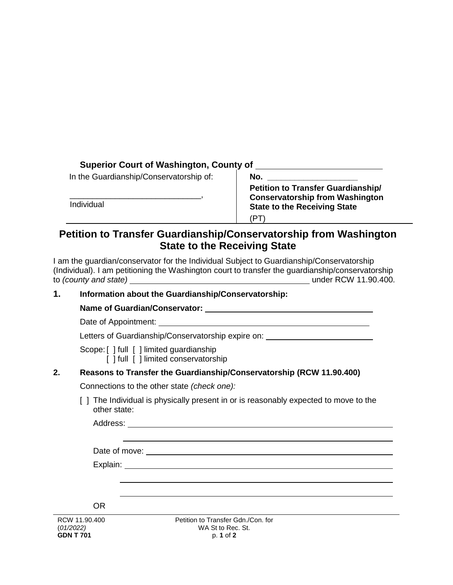## **Superior Court of Washington, County of**

| In the Guardianship/Conservatorship of: |  |
|-----------------------------------------|--|
| Individual                              |  |
|                                         |  |

**Petition to Transfer Guardianship/ Conservatorship from Washington State to the Receiving State**  (PT)

# **Petition to Transfer Guardianship/Conservatorship from Washington State to the Receiving State**

I am the guardian/conservator for the Individual Subject to Guardianship/Conservatorship (Individual). I am petitioning the Washington court to transfer the guardianship/conservatorship to *(county and state)* under RCW 11.90.400.

### **1. Information about the Guardianship/Conservatorship:**

#### **Name of Guardian/Conservator:**

Date of Appointment:

Letters of Guardianship/Conservatorship expire on: University of Guardianship/Conservatorship expire on:

Scope: [ ] full [ ] limited guardianship

[ ] full [ ] limited conservatorship

## **2. Reasons to Transfer the Guardianship/Conservatorship (RCW 11.90.400)**

Connections to the other state *(check one):*

[ ] The Individual is physically present in or is reasonably expected to move to the other state:

Address: and the contract of the contract of the contract of the contract of the contract of the contract of the contract of the contract of the contract of the contract of the contract of the contract of the contract of t

Date of move:

Explain:

OR

RCW 11.90.400 (*01/2022)*  **GDN T 701**